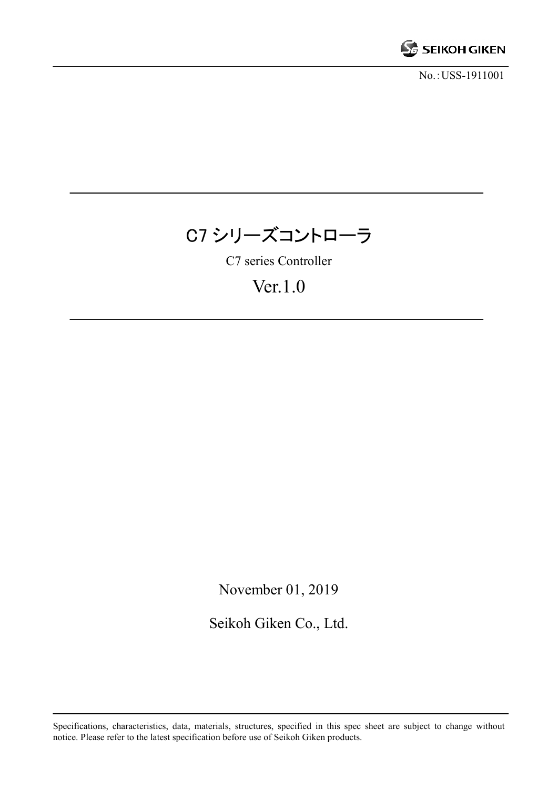

No.:USS-1911001

# C7 シリーズコントローラ

C7 series Controller

## Ver.1.0

November 01, 2019

Seikoh Giken Co., Ltd.

Specifications, characteristics, data, materials, structures, specified in this spec sheet are subject to change without notice. Please refer to the latest specification before use of Seikoh Giken products.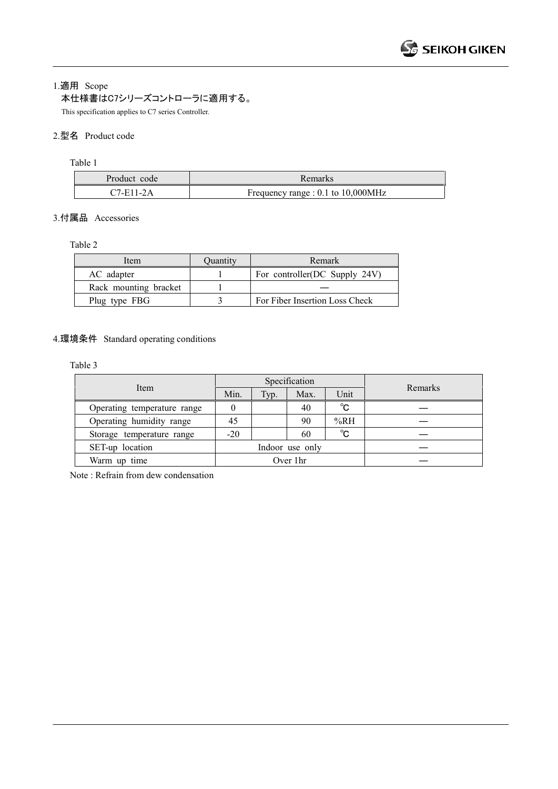1.適用 Scope

本仕様書はC7シリーズコントローラに適用する。

This specification applies to C7 series Controller.

## 2.型名 Product code

Table 1

| Product code | Remarks                                 |
|--------------|-----------------------------------------|
| $C7$ -E11-2A | Frequency range : $0.1$ to $10,000$ MHz |

## 3.付属品 Accessories

#### Table 2

| Item                  | Ouantity | Remark                         |
|-----------------------|----------|--------------------------------|
| AC adapter            |          | For controller(DC Supply 24V)  |
| Rack mounting bracket |          |                                |
| Plug type FBG         |          | For Fiber Insertion Loss Check |

## 4.環境条件 Standard operating conditions

Table 3

|                             |                 |      | Specification |      |         |
|-----------------------------|-----------------|------|---------------|------|---------|
| Item                        | Min.            | Typ. | Max.          | Unit | Remarks |
| Operating temperature range |                 |      | 40            | °C   |         |
| Operating humidity range    | 45              |      | 90            | %RH  |         |
| Storage temperature range   | $-20$           |      | 60            | °C   |         |
| SET-up location             | Indoor use only |      |               |      |         |
| Warm up time                | Over 1hr        |      |               |      |         |

Note : Refrain from dew condensation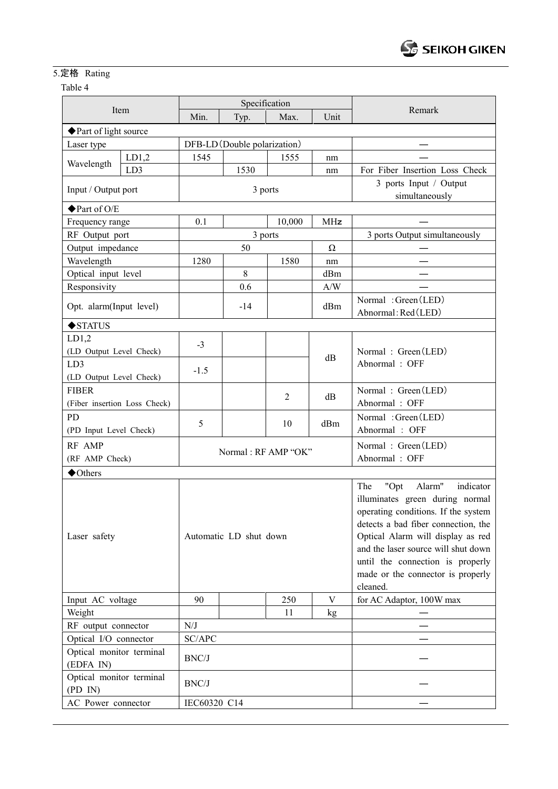## 5.定格 Rating

## Table 4

| Item                                  |                              |                        |                     | Specification  |                         |                                                                                                                                                                                                                                                                                                                      |  |
|---------------------------------------|------------------------------|------------------------|---------------------|----------------|-------------------------|----------------------------------------------------------------------------------------------------------------------------------------------------------------------------------------------------------------------------------------------------------------------------------------------------------------------|--|
|                                       |                              | Min.                   | Typ.                | Max.           | Unit                    | Remark                                                                                                                                                                                                                                                                                                               |  |
|                                       | ◆ Part of light source       |                        |                     |                |                         |                                                                                                                                                                                                                                                                                                                      |  |
| Laser type                            | DFB-LD (Double polarization) |                        |                     |                |                         |                                                                                                                                                                                                                                                                                                                      |  |
|                                       | LD1,2                        | 1545                   |                     | 1555           | nm                      |                                                                                                                                                                                                                                                                                                                      |  |
| Wavelength                            | LD3                          |                        | 1530                |                | nm                      | For Fiber Insertion Loss Check                                                                                                                                                                                                                                                                                       |  |
| Input / Output port                   |                              | 3 ports                |                     |                |                         | 3 ports Input / Output<br>simultaneously                                                                                                                                                                                                                                                                             |  |
| ◆ Part of O/E                         |                              |                        |                     |                |                         |                                                                                                                                                                                                                                                                                                                      |  |
| Frequency range                       |                              | 0.1<br>10,000<br>MHz   |                     |                |                         |                                                                                                                                                                                                                                                                                                                      |  |
| RF Output port                        |                              |                        |                     | 3 ports        |                         | 3 ports Output simultaneously                                                                                                                                                                                                                                                                                        |  |
| Output impedance                      |                              |                        | 50                  |                | $\Omega$                |                                                                                                                                                                                                                                                                                                                      |  |
| Wavelength                            |                              | 1280                   |                     | 1580           | nm                      |                                                                                                                                                                                                                                                                                                                      |  |
| Optical input level                   |                              |                        | 8                   |                | dBm                     |                                                                                                                                                                                                                                                                                                                      |  |
| Responsivity                          |                              |                        | 0.6                 |                | $\mathrm{A}/\mathrm{W}$ |                                                                                                                                                                                                                                                                                                                      |  |
| Opt. alarm(Input level)               |                              |                        | $-14$               |                | dBm                     | Normal: Green (LED)<br>Abnormal: Red(LED)                                                                                                                                                                                                                                                                            |  |
| $\blacklozenge$ STATUS                |                              |                        |                     |                |                         |                                                                                                                                                                                                                                                                                                                      |  |
| LD1,2                                 |                              |                        |                     |                |                         |                                                                                                                                                                                                                                                                                                                      |  |
| (LD Output Level Check)               |                              | $-3$                   |                     |                |                         | Normal: Green (LED)                                                                                                                                                                                                                                                                                                  |  |
| LD3                                   |                              |                        |                     |                | dB                      | Abnormal: OFF                                                                                                                                                                                                                                                                                                        |  |
| (LD Output Level Check)               |                              | $-1.5$                 |                     |                |                         |                                                                                                                                                                                                                                                                                                                      |  |
| <b>FIBER</b>                          |                              |                        |                     |                |                         | Normal: Green (LED)                                                                                                                                                                                                                                                                                                  |  |
| (Fiber insertion Loss Check)          |                              |                        |                     | $\overline{2}$ | dB                      | Abnormal: OFF                                                                                                                                                                                                                                                                                                        |  |
| PD                                    |                              |                        |                     |                |                         | Normal: Green (LED)                                                                                                                                                                                                                                                                                                  |  |
| (PD Input Level Check)                |                              | 5                      |                     | 10             | dBm                     | Abnormal: OFF                                                                                                                                                                                                                                                                                                        |  |
| RF AMP                                |                              |                        |                     |                | Normal: Green (LED)     |                                                                                                                                                                                                                                                                                                                      |  |
| (RF AMP Check)                        |                              |                        | Normal: RF AMP "OK" |                |                         | Abnormal: OFF                                                                                                                                                                                                                                                                                                        |  |
| $\blacklozenge$ Others                |                              |                        |                     |                |                         |                                                                                                                                                                                                                                                                                                                      |  |
| Laser safety                          |                              | Automatic LD shut down |                     |                |                         | "Opt<br>Alarm"<br>indicator<br>The<br>illuminates green during normal<br>operating conditions. If the system<br>detects a bad fiber connection, the<br>Optical Alarm will display as red<br>and the laser source will shut down<br>until the connection is properly<br>made or the connector is properly<br>cleaned. |  |
| Input AC voltage                      |                              | 90                     |                     | 250            | V                       | for AC Adaptor, 100W max                                                                                                                                                                                                                                                                                             |  |
| Weight                                |                              |                        |                     | 11             | kg                      |                                                                                                                                                                                                                                                                                                                      |  |
| RF output connector                   |                              | N/J                    |                     |                |                         |                                                                                                                                                                                                                                                                                                                      |  |
| Optical I/O connector                 |                              | SC/APC                 |                     |                |                         |                                                                                                                                                                                                                                                                                                                      |  |
| Optical monitor terminal<br>(EDFA IN) |                              | BNC/J                  |                     |                |                         |                                                                                                                                                                                                                                                                                                                      |  |
| Optical monitor terminal<br>(PD IN)   |                              | BNC/J                  |                     |                |                         |                                                                                                                                                                                                                                                                                                                      |  |
| AC Power connector                    |                              | IEC60320 C14           |                     |                |                         |                                                                                                                                                                                                                                                                                                                      |  |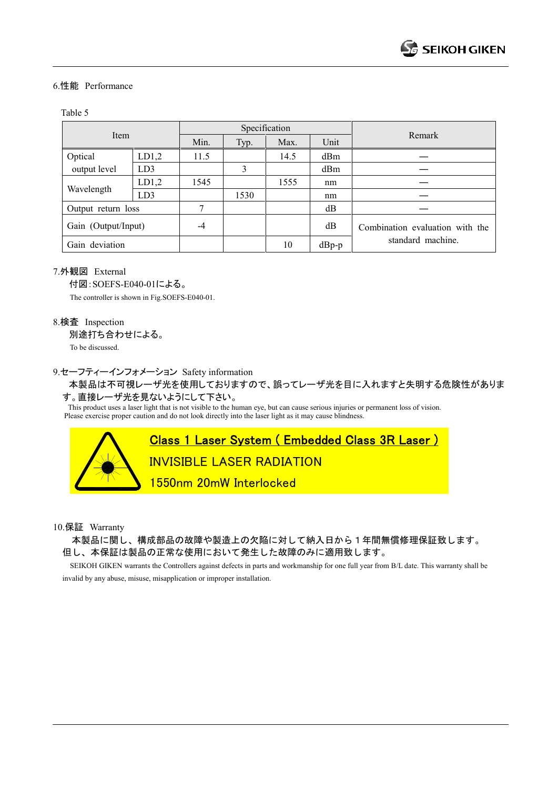#### 6.性能 Performance

#### Table 5

| Item                |       |      |      | Specification |         |                                 |
|---------------------|-------|------|------|---------------|---------|---------------------------------|
|                     |       | Min. | Typ. | Max.          | Unit    | Remark                          |
| Optical             | LD1,2 | 11.5 |      | 14.5          | dBm     |                                 |
| output level        | LD3   |      | 3    |               | dBm     |                                 |
| Wavelength          | LD1,2 | 1545 |      | 1555          | nm      |                                 |
|                     | LD3   |      | 1530 |               | nm      |                                 |
| Output return loss  |       | 7    |      |               | dB      |                                 |
| Gain (Output/Input) |       | -4   |      |               | dB      | Combination evaluation with the |
| Gain deviation      |       |      |      | 10            | $dBp-p$ | standard machine.               |

#### 7.外観図 External

付図:SOEFS-E040-01による。

The controller is shown in Fig.SOEFS-E040-01.

#### 8.検査 Inspection

別途打ち合わせによる。

To be discussed.

#### 9.セーフティーインフォメーション Safety information

本製品は不可視レーザ光を使用しておりますので、誤ってレーザ光を目に入れますと失明する危険性がありま

## す。直接レーザ光を見ないようにして下さい。

This product uses a laser light that is not visible to the human eye, but can cause serious injuries or permanent loss of vision. Please exercise proper caution and do not look directly into the laser light as it may cause blindness.

## Class 1 Laser System ( Embedded Class 3R Laser )

INVISIBLE LASER RADIATION

1550nm 20mW Interlocked

10.保証 Warranty

本製品に関し、構成部品の故障や製造上の欠陥に対して納入日から1年間無償修理保証致します。 但し、本保証は製品の正常な使用において発生した故障のみに適用致します。

 SEIKOH GIKEN warrants the Controllers against defects in parts and workmanship for one full year from B/L date. This warranty shall be invalid by any abuse, misuse, misapplication or improper installation.